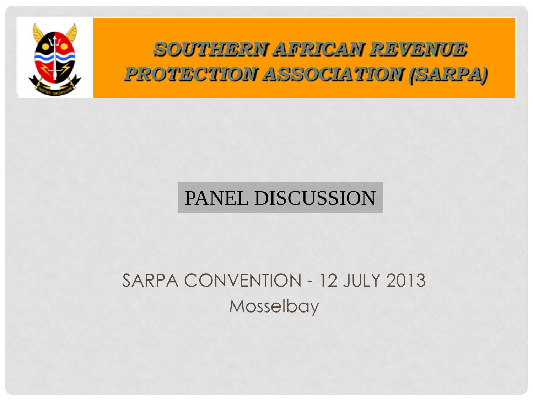

*SOUTHERN AFRICAN REVENUE PROTECTION ASSOCIATION (SARPA)*

#### PANEL DISCUSSION

#### SARPA CONVENTION - 12 JULY 2013 Mosselbay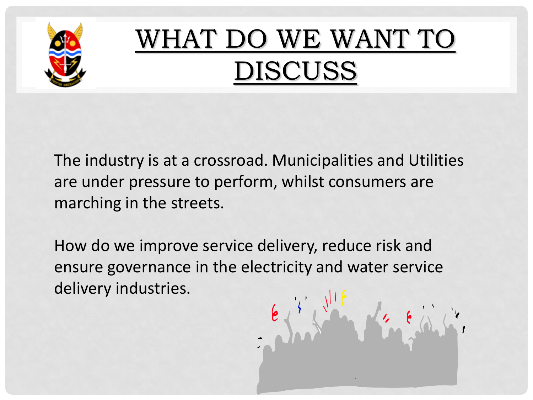

#### WHAT DO WE WANT TO DISCUSS

11. 8

The industry is at a crossroad. Municipalities and Utilities are under pressure to perform, whilst consumers are marching in the streets.

How do we improve service delivery, reduce risk and ensure governance in the electricity and water service delivery industries.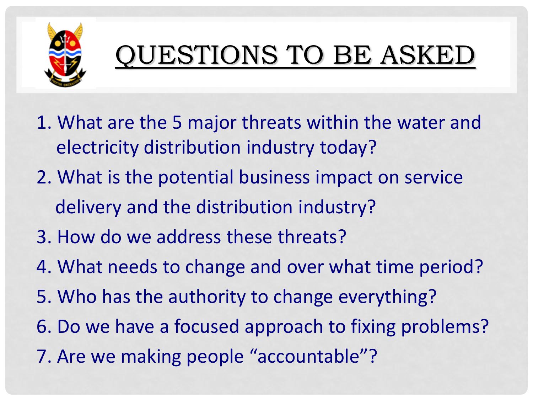

# QUESTIONS TO BE ASKED

- 1. What are the 5 major threats within the water and electricity distribution industry today?
- 2. What is the potential business impact on service delivery and the distribution industry?
- 3. How do we address these threats?
- 4. What needs to change and over what time period?
- 5. Who has the authority to change everything?
- 6. Do we have a focused approach to fixing problems?
- 7. Are we making people "accountable"?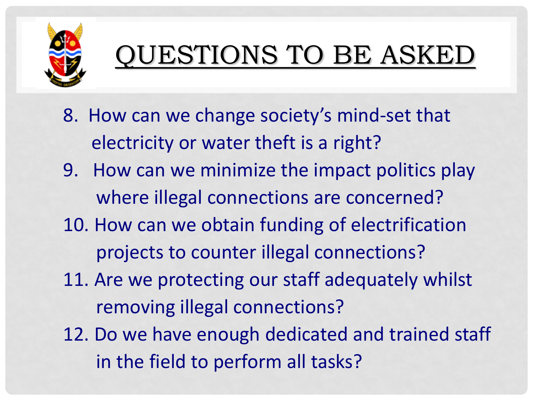

# QUESTIONS TO BE ASKED

- 8. How can we change society's mind-set that electricity or water theft is a right?
- 9. How can we minimize the impact politics play where illegal connections are concerned?
- 10. How can we obtain funding of electrification projects to counter illegal connections?
- 11. Are we protecting our staff adequately whilst removing illegal connections?
- 12. Do we have enough dedicated and trained staff in the field to perform all tasks?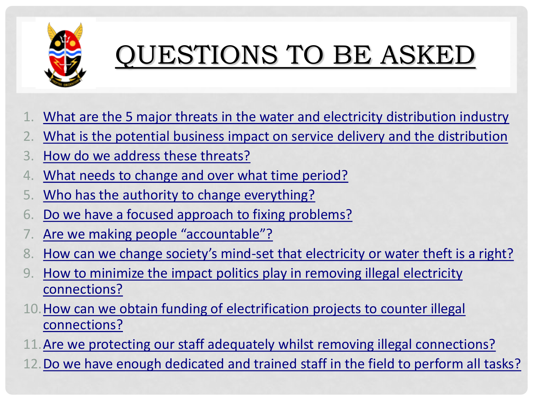

# QUESTIONS TO BE ASKED

- <u>What are the 5 major threats in the water and electricity distribution industry</u>
- 2. What is the potential business impact on service delivery and the distribution
- 3. How do we address these threats?
- 4. What needs to change and over what time period?
- 5. Who has the authority to change everything?
- 6. Do we have a focused approach to fixing problems?
- Are we making people "accountable"?
- 8. How can we change society's mind-set that electricity or water theft is a right?
- How to minimize the impact politics play in removing illegal electricity connections?
- 10. How can we obtain funding of electrification projects to counter illegal connections?
- Are we protecting our staff adequately whilst removing illegal connections?
- Do we have enough dedicated and trained staff in the field to perform all tasks?